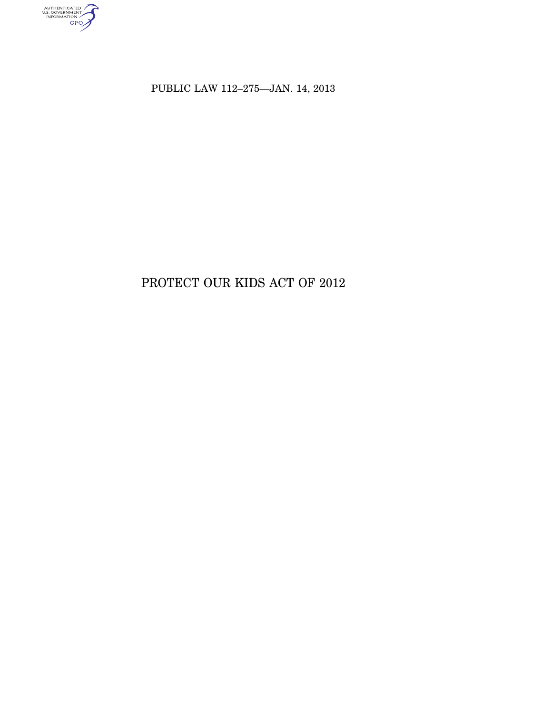

PUBLIC LAW 112–275—JAN. 14, 2013

# PROTECT OUR KIDS ACT OF 2012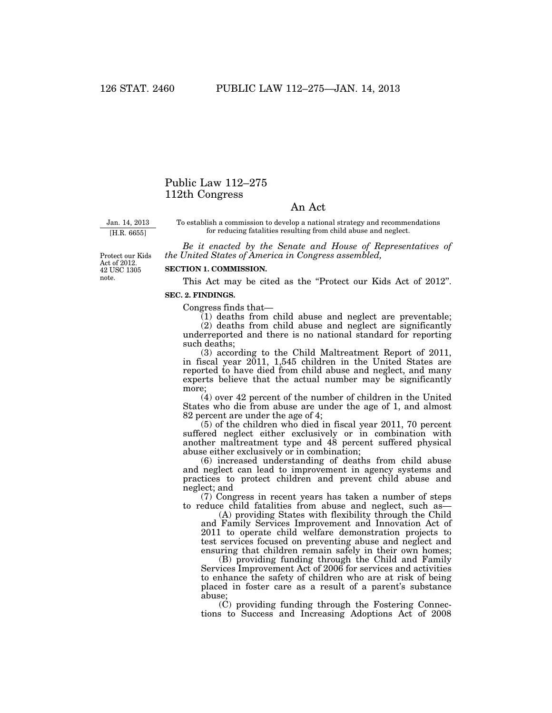## Public Law 112–275 112th Congress

# An Act To establish a commission to develop a national strategy and recommendations

Jan. 14, 2013 [H.R. 6655]

for reducing fatalities resulting from child abuse and neglect. *Be it enacted by the Senate and House of Representatives of* 

*the United States of America in Congress assembled,* 

Protect our Kids Act of 2012. 42 USC 1305 note.

## **SECTION 1. COMMISSION.**

This Act may be cited as the "Protect our Kids Act of 2012".

**SEC. 2. FINDINGS.** 

Congress finds that—

(1) deaths from child abuse and neglect are preventable; (2) deaths from child abuse and neglect are significantly underreported and there is no national standard for reporting such deaths;

(3) according to the Child Maltreatment Report of 2011, in fiscal year 2011, 1,545 children in the United States are reported to have died from child abuse and neglect, and many experts believe that the actual number may be significantly more;

(4) over 42 percent of the number of children in the United States who die from abuse are under the age of 1, and almost 82 percent are under the age of 4;

(5) of the children who died in fiscal year 2011, 70 percent suffered neglect either exclusively or in combination with another maltreatment type and 48 percent suffered physical abuse either exclusively or in combination;

(6) increased understanding of deaths from child abuse and neglect can lead to improvement in agency systems and practices to protect children and prevent child abuse and neglect; and

(7) Congress in recent years has taken a number of steps to reduce child fatalities from abuse and neglect, such as—

(A) providing States with flexibility through the Child and Family Services Improvement and Innovation Act of 2011 to operate child welfare demonstration projects to test services focused on preventing abuse and neglect and ensuring that children remain safely in their own homes;

(B) providing funding through the Child and Family Services Improvement Act of 2006 for services and activities to enhance the safety of children who are at risk of being placed in foster care as a result of a parent's substance abuse;

(C) providing funding through the Fostering Connections to Success and Increasing Adoptions Act of 2008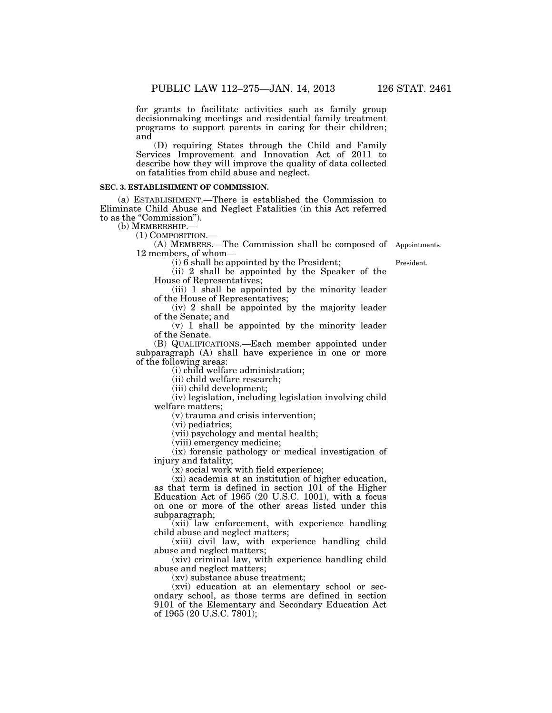for grants to facilitate activities such as family group decisionmaking meetings and residential family treatment programs to support parents in caring for their children; and

(D) requiring States through the Child and Family Services Improvement and Innovation Act of 2011 to describe how they will improve the quality of data collected on fatalities from child abuse and neglect.

### **SEC. 3. ESTABLISHMENT OF COMMISSION.**

(a) ESTABLISHMENT.—There is established the Commission to Eliminate Child Abuse and Neglect Fatalities (in this Act referred to as the "Commission").<br>(b) MEMBERSHIP.—

(b) MEMBERSHIP.—<br>
(1) COMPOSITION.—<br>
(A) MEMBERS.—The Commission shall be composed of Appointments. 12 members, of whom—

 $(i)$  6 shall be appointed by the President;

(ii) 2 shall be appointed by the Speaker of the House of Representatives;

(iii) 1 shall be appointed by the minority leader of the House of Representatives;

(iv) 2 shall be appointed by the majority leader of the Senate; and

(v) 1 shall be appointed by the minority leader of the Senate.

(B) QUALIFICATIONS.—Each member appointed under subparagraph (A) shall have experience in one or more of the following areas:

(i) child welfare administration;

(ii) child welfare research;

(iii) child development;

(iv) legislation, including legislation involving child welfare matters;

(v) trauma and crisis intervention;

(vi) pediatrics;

(vii) psychology and mental health;

(viii) emergency medicine;

(ix) forensic pathology or medical investigation of injury and fatality;

(x) social work with field experience;

(xi) academia at an institution of higher education, as that term is defined in section 101 of the Higher Education Act of 1965 (20 U.S.C. 1001), with a focus on one or more of the other areas listed under this subparagraph;

(xii) law enforcement, with experience handling child abuse and neglect matters;

(xiii) civil law, with experience handling child abuse and neglect matters;

(xiv) criminal law, with experience handling child abuse and neglect matters;

(xv) substance abuse treatment;

(xvi) education at an elementary school or secondary school, as those terms are defined in section 9101 of the Elementary and Secondary Education Act of 1965 (20 U.S.C. 7801);

President.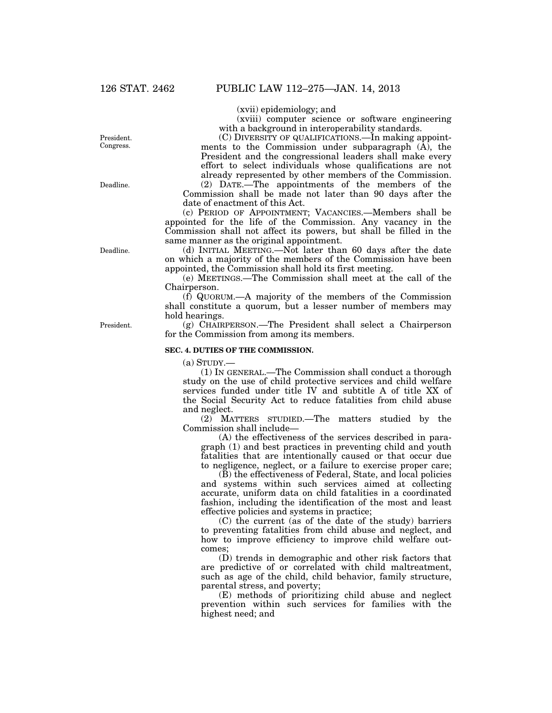(xvii) epidemiology; and

(xviii) computer science or software engineering with a background in interoperability standards.

(C) DIVERSITY OF QUALIFICATIONS.—In making appointments to the Commission under subparagraph  $(\overline{A})$ , the President and the congressional leaders shall make every effort to select individuals whose qualifications are not already represented by other members of the Commission.

(2) DATE.—The appointments of the members of the Commission shall be made not later than 90 days after the date of enactment of this Act.

(c) PERIOD OF APPOINTMENT; VACANCIES.—Members shall be appointed for the life of the Commission. Any vacancy in the Commission shall not affect its powers, but shall be filled in the same manner as the original appointment.

(d) INITIAL MEETING.—Not later than 60 days after the date on which a majority of the members of the Commission have been appointed, the Commission shall hold its first meeting.

(e) MEETINGS.—The Commission shall meet at the call of the Chairperson.

(f) QUORUM.—A majority of the members of the Commission shall constitute a quorum, but a lesser number of members may hold hearings.

(g) CHAIRPERSON.—The President shall select a Chairperson for the Commission from among its members.

#### **SEC. 4. DUTIES OF THE COMMISSION.**

(a) STUDY.—

(1) IN GENERAL.—The Commission shall conduct a thorough study on the use of child protective services and child welfare services funded under title IV and subtitle A of title XX of the Social Security Act to reduce fatalities from child abuse and neglect.

(2) MATTERS STUDIED.—The matters studied by the Commission shall include—

(A) the effectiveness of the services described in paragraph (1) and best practices in preventing child and youth fatalities that are intentionally caused or that occur due to negligence, neglect, or a failure to exercise proper care;

 $(\overline{B})$  the effectiveness of Federal, State, and local policies and systems within such services aimed at collecting accurate, uniform data on child fatalities in a coordinated fashion, including the identification of the most and least effective policies and systems in practice;

(C) the current (as of the date of the study) barriers to preventing fatalities from child abuse and neglect, and how to improve efficiency to improve child welfare outcomes;

(D) trends in demographic and other risk factors that are predictive of or correlated with child maltreatment, such as age of the child, child behavior, family structure, parental stress, and poverty;

(E) methods of prioritizing child abuse and neglect prevention within such services for families with the highest need; and

Deadline.

Deadline.

President.

President. Congress.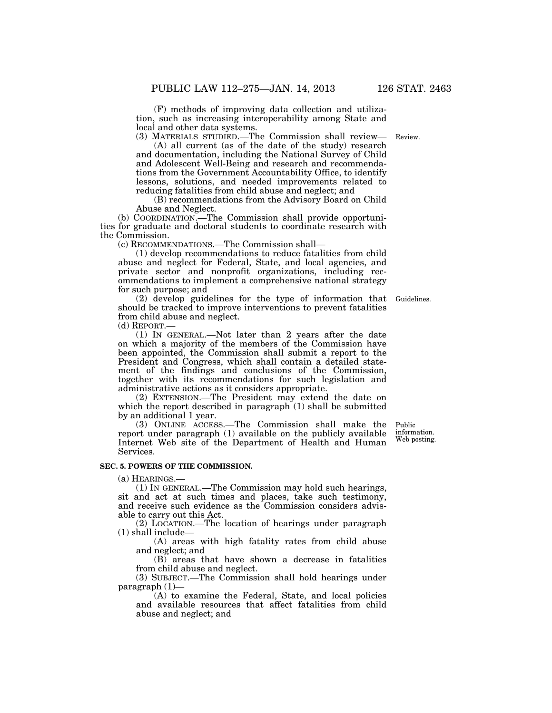(F) methods of improving data collection and utilization, such as increasing interoperability among State and local and other data systems.

(3) MATERIALS STUDIED.—The Commission shall review—

(A) all current (as of the date of the study) research and documentation, including the National Survey of Child and Adolescent Well-Being and research and recommendations from the Government Accountability Office, to identify lessons, solutions, and needed improvements related to reducing fatalities from child abuse and neglect; and

(B) recommendations from the Advisory Board on Child Abuse and Neglect.

(b) COORDINATION.—The Commission shall provide opportunities for graduate and doctoral students to coordinate research with the Commission.

(c) RECOMMENDATIONS.—The Commission shall—

(1) develop recommendations to reduce fatalities from child abuse and neglect for Federal, State, and local agencies, and private sector and nonprofit organizations, including recommendations to implement a comprehensive national strategy for such purpose; and

(2) develop guidelines for the type of information that should be tracked to improve interventions to prevent fatalities from child abuse and neglect.

(d) REPORT.—

(1) IN GENERAL.—Not later than 2 years after the date on which a majority of the members of the Commission have been appointed, the Commission shall submit a report to the President and Congress, which shall contain a detailed statement of the findings and conclusions of the Commission, together with its recommendations for such legislation and administrative actions as it considers appropriate.

(2) EXTENSION.—The President may extend the date on which the report described in paragraph  $(1)$  shall be submitted by an additional 1 year.

(3) ONLINE ACCESS.—The Commission shall make the report under paragraph (1) available on the publicly available Internet Web site of the Department of Health and Human Services.

#### **SEC. 5. POWERS OF THE COMMISSION.**

(a) HEARINGS.—

(1) IN GENERAL.—The Commission may hold such hearings, sit and act at such times and places, take such testimony, and receive such evidence as the Commission considers advisable to carry out this Act.

(2) LOCATION.—The location of hearings under paragraph (1) shall include—

(A) areas with high fatality rates from child abuse and neglect; and

(B) areas that have shown a decrease in fatalities from child abuse and neglect.

(3) SUBJECT.—The Commission shall hold hearings under paragraph (1)—

(A) to examine the Federal, State, and local policies and available resources that affect fatalities from child abuse and neglect; and

Public information. Web posting.

Guidelines.

Review.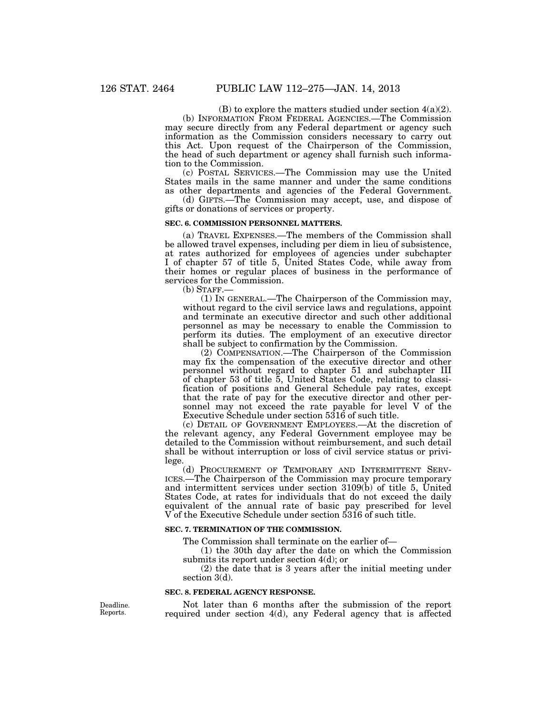(B) to explore the matters studied under section  $4(a)(2)$ . (b) INFORMATION FROM FEDERAL AGENCIES.—The Commission may secure directly from any Federal department or agency such information as the Commission considers necessary to carry out this Act. Upon request of the Chairperson of the Commission, the head of such department or agency shall furnish such information to the Commission.

(c) POSTAL SERVICES.—The Commission may use the United States mails in the same manner and under the same conditions as other departments and agencies of the Federal Government.

(d) GIFTS.—The Commission may accept, use, and dispose of gifts or donations of services or property.

#### **SEC. 6. COMMISSION PERSONNEL MATTERS.**

(a) TRAVEL EXPENSES.—The members of the Commission shall be allowed travel expenses, including per diem in lieu of subsistence, at rates authorized for employees of agencies under subchapter I of chapter 57 of title 5, United States Code, while away from their homes or regular places of business in the performance of services for the Commission.

(b) STAFF.—

(1) IN GENERAL.—The Chairperson of the Commission may, without regard to the civil service laws and regulations, appoint and terminate an executive director and such other additional personnel as may be necessary to enable the Commission to perform its duties. The employment of an executive director shall be subject to confirmation by the Commission.

(2) COMPENSATION.—The Chairperson of the Commission may fix the compensation of the executive director and other personnel without regard to chapter 51 and subchapter III of chapter 53 of title 5, United States Code, relating to classification of positions and General Schedule pay rates, except that the rate of pay for the executive director and other personnel may not exceed the rate payable for level V of the Executive Schedule under section 5316 of such title.

(c) DETAIL OF GOVERNMENT EMPLOYEES.—At the discretion of the relevant agency, any Federal Government employee may be detailed to the Commission without reimbursement, and such detail shall be without interruption or loss of civil service status or privilege.

(d) PROCUREMENT OF TEMPORARY AND INTERMITTENT SERV-ICES.—The Chairperson of the Commission may procure temporary and intermittent services under section 3109(b) of title 5, United States Code, at rates for individuals that do not exceed the daily equivalent of the annual rate of basic pay prescribed for level V of the Executive Schedule under section 5316 of such title.

#### **SEC. 7. TERMINATION OF THE COMMISSION.**

The Commission shall terminate on the earlier of—

(1) the 30th day after the date on which the Commission submits its report under section 4(d); or

(2) the date that is 3 years after the initial meeting under section  $3(d)$ .

#### **SEC. 8. FEDERAL AGENCY RESPONSE.**

Deadline. Reports.

Not later than 6 months after the submission of the report required under section 4(d), any Federal agency that is affected